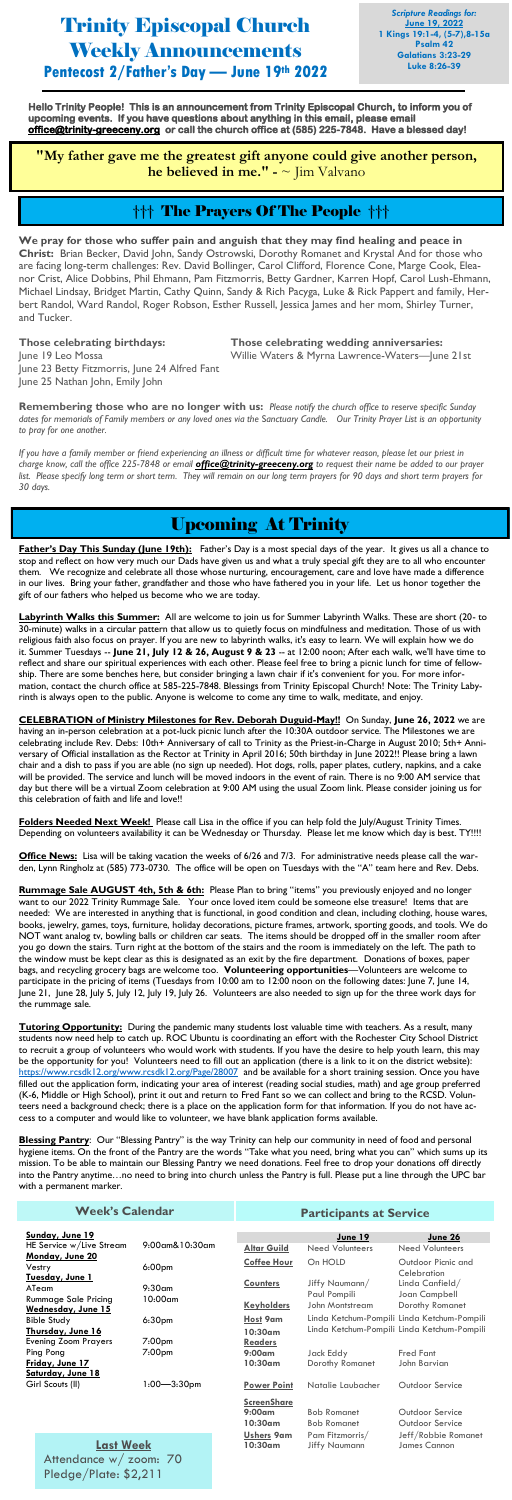## Trinity Episcopal Church Weekly Announcements **Pentecost 2/Father's Day — June 19th 2022**

*Scripture Readings for:* **June 19, 2022 1 Kings 19:1-4, (5-7),8-15a Psalm 42 Galatians 3:23-29 Luke 8:26-39**

## Upcoming At Trinity

**Father's Day This Sunday (June 19th):** Father's Day is a most special days of the year. It gives us all a chance to stop and reflect on how very much our Dads have given us and what a truly special gift they are to all who encounter them. We recognize and celebrate all those whose nurturing, encouragement, care and love have made a difference in our lives. Bring your father, grandfather and those who have fathered you in your life. Let us honor together the gift of our fathers who helped us become who we are today.

**Labyrinth Walks this Summer:** All are welcome to join us for Summer Labyrinth Walks. These are short (20- to 30-minute) walks in a circular pattern that allow us to quietly focus on mindfulness and meditation. Those of us with religious faith also focus on prayer. If you are new to labyrinth walks, it's easy to learn. We will explain how we do it. Summer Tuesdays -- **June 21, July 12 & 26, August 9 & 23** -- at 12:00 noon; After each walk, we'll have time to reflect and share our spiritual experiences with each other. Please feel free to bring a picnic lunch for time of fellowship. There are some benches here, but consider bringing a lawn chair if it's convenient for you. For more information, contact the church office at 585-225-7848. Blessings from Trinity Episcopal Church! Note: The Trinity Labyrinth is always open to the public. Anyone is welcome to come any time to walk, meditate, and enjoy.

**CELEBRATION of Ministry Milestones for Rev. Deborah Duguid-May!!** On Sunday, **June 26, 2022** we are having an in-person celebration at a pot-luck picnic lunch after the 10:30A outdoor service. The Milestones we are celebrating include Rev. Debs: 10th+ Anniversary of call to Trinity as the Priest-in-Charge in August 2010; 5th+ Anniversary of Official installation as the Rector at Trinity in April 2016; 50th birthday in June 2022!! Please bring a lawn chair and a dish to pass if you are able (no sign up needed). Hot dogs, rolls, paper plates, cutlery, napkins, and a cake will be provided. The service and lunch will be moved indoors in the event of rain. There is no 9:00 AM service that day but there will be a virtual Zoom celebration at 9:00 AM using the usual Zoom link. Please consider joining us for this celebration of faith and life and love!!

**Folders Needed Next Week!** Please call Lisa in the office if you can help fold the July/August Trinity Times. Depending on volunteers availability it can be Wednesday or Thursday. Please let me know which day is best. TY!!!!

**Office News:** Lisa will be taking vacation the weeks of 6/26 and 7/3. For administrative needs please call the warden, Lynn Ringholz at (585) 773-0730. The office will be open on Tuesdays with the "A" team here and Rev. Debs.

**"My father gave me the greatest gift anyone could give another person, he believed in me." -** ~ Jim Valvano

**Rummage Sale AUGUST 4th, 5th & 6th:** Please Plan to bring "items" you previously enjoyed and no longer want to our 2022 Trinity Rummage Sale. Your once loved item could be someone else treasure! Items that are needed: We are interested in anything that is functional, in good condition and clean, including clothing, house wares, books, jewelry, games, toys, furniture, holiday decorations, picture frames, artwork, sporting goods, and tools. We do NOT want analog tv, bowling balls or children car seats. The items should be dropped off in the smaller room after you go down the stairs. Turn right at the bottom of the stairs and the room is immediately on the left. The path to the window must be kept clear as this is designated as an exit by the fire department. Donations of boxes, paper<br>bags, and recycling grocery bags are welcome too. Volunteering opportunities—Volunteers are welcome to bags, and recycling grocery bags are welcome too. Volunteering opportunitiesparticipate in the pricing of items (Tuesdays from 10:00 am to 12:00 noon on the following dates: June 7, June 14, June 21, June 28, July 5, July 12, July 19, July 26. Volunteers are also needed to sign up for the three work days for the rummage sale.

**Tutoring Opportunity:** During the pandemic many students lost valuable time with teachers. As a result, many students now need help to catch up. ROC Ubuntu is coordinating an effort with the Rochester City School District to recruit a group of volunteers who would work with students. If you have the desire to help youth learn, this may be the opportunity for you! Volunteers need to fill out an application (there is a link to it on the district website): <https://www.rcsdk12.org/www.rcsdk12.org/Page/28007>and be available for a short training session. Once you have filled out the application form, indicating your area of interest (reading social studies, math) and age group preferred (K-6, Middle or High School), print it out and return to Fred Fant so we can collect and bring to the RCSD. Volunteers need a background check; there is a place on the application form for that information. If you do not have access to a computer and would like to volunteer, we have blank application forms available.

**Blessing Pantry**: Our "Blessing Pantry" is the way Trinity can help our community in need of food and personal hygiene items. On the front of the Pantry are the words "Take what you need, bring what you can" which sums up its mission. To be able to maintain our Blessing Pantry we need donations. Feel free to drop your donations off directly into the Pantry anytime…no need to bring into church unless the Pantry is full. Please put a line through the UPC bar with a permanent marker.

**Hello Trinity People! This is an announcement from Trinity Episcopal Church, to inform you of upcoming events. If you have questions about anything in this email, please email [office@trinity-greeceny.org](mailto:office@trinity-greeceny.org) or call the church office at (585) 225-7848. Have a blessed day!** 

**We pray for those who suffer pain and anguish that they may find healing and peace in Christ:** Brian Becker, David John, Sandy Ostrowski, Dorothy Romanet and Krystal And for those who are facing long-term challenges: Rev. David Bollinger, Carol Clifford, Florence Cone, Marge Cook, Eleanor Crist, Alice Dobbins, Phil Ehmann, Pam Fitzmorris, Betty Gardner, Karren Hopf, Carol Lush-Ehmann, Michael Lindsay, Bridget Martin, Cathy Quinn, Sandy & Rich Pacyga, Luke & Rick Pappert and family, Herbert Randol, Ward Randol, Roger Robson, Esther Russell, Jessica James and her mom, Shirley Turner, and Tucker.

June 19 Leo Mossa Willie Waters & Myrna Lawrence-Waters—June 21st

**Those celebrating birthdays: Those celebrating wedding anniversaries:** June 23 Betty Fitzmorris, June 24 Alfred Fant June 25 Nathan John, Emily John

**Remembering those who are no longer with us:** *Please notify the church office to reserve specific Sunday dates for memorials of Family members or any loved ones via the* S*anctuary Candle. Our Trinity Prayer List is an opportunity to pray for one another.* 

*If you have a family member or friend experiencing an illness or difficult time for whatever reason, please let our priest in charge know, call the office 225-7848 or email [office@trinity-greeceny.org](mailto:office@trinity-greeceny.org) to request their name be added to our prayer list. Please specify long term or short term. They will remain on our long term prayers for 90 days and short term prayers for 30 days.*

### ††† The Prayers Of The People †††

**Last Week** Attendance w/ zoom: 70 Pledge/Plate: \$2,211

#### **Week's Calendar Sunday, June 19** HE Service w/Live Stream 9:00am&10:30am **Monday, June 20** Vestry 6:00pm **Tuesday, June 1** ATeam 9:30am Rummage Sale Pricing 10:00am **Wednesday, June 15** Bible Study 6:30pm **Thursday, June 16** Evening Zoom Prayers 7:00pm<br>Ping Pong 7:00pm Ping Pong **Friday, June 17 Saturday, June 18** Girl Scouts (ll) 1:00—3:30pm **June 19 June 26 Altar Guild** Need Volunteers **Coffee Hour** On HOLD **Outdoor Picnic and** Celebration **Counters** Jiffy Naumann/ Paul Pompili Linda Canfield/ Joan Campbell **Keyholders** John Montstream **Host 9am 10:30am** Linda Ketchum-Pompili Linda Ketchum-Pompili Linda Ketchum-Pompili Linda Ketchum-Pompili **Readers 9:00am 10:30am** Jack Eddy Dorothy Romanet Fred Fant John Barvian **Power Point** Natalie Laubacher Outdoor Service **ScreenShare 9:00am 10:30am** Bob Romanet Bob Romanet Outdoor Service Outdoor Service **Ushers 9am 10:30am** Pam Fitzmorris/ Jiffy Naumann Jeff/Robbie Romanet **Participants at Service**

James Cannon